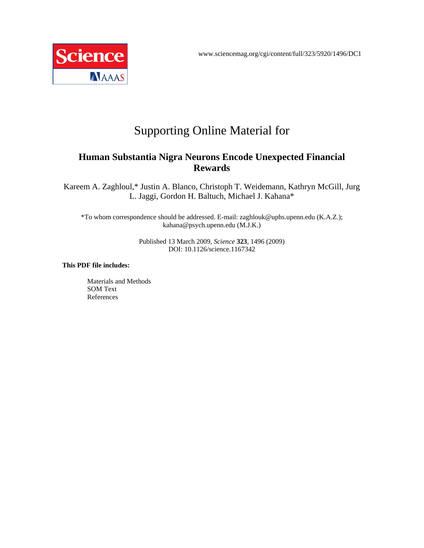

# Supporting Online Material for

### **Human Substantia Nigra Neurons Encode Unexpected Financial Rewards**

Kareem A. Zaghloul,\* Justin A. Blanco, Christoph T. Weidemann, Kathryn McGill, Jurg L. Jaggi, Gordon H. Baltuch, Michael J. Kahana\*

\*To whom correspondence should be addressed. E-mail: zaghlouk@uphs.upenn.edu (K.A.Z.); kahana@psych.upenn.edu (M.J.K.)

> Published 13 March 2009, *Science* **323**, 1496 (2009) DOI: 10.1126/science.1167342

#### **This PDF file includes:**

Materials and Methods SOM Text References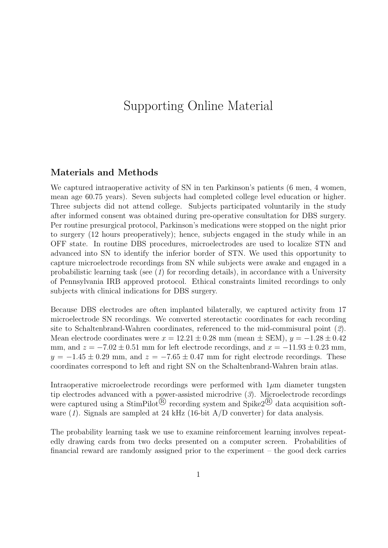# Supporting Online Material

### Materials and Methods

We captured intraoperative activity of SN in ten Parkinson's patients (6 men, 4 women, mean age 60.75 years). Seven subjects had completed college level education or higher. Three subjects did not attend college. Subjects participated voluntarily in the study after informed consent was obtained during pre-operative consultation for DBS surgery. Per routine presurgical protocol, Parkinson's medications were stopped on the night prior to surgery (12 hours preoperatively); hence, subjects engaged in the study while in an OFF state. In routine DBS procedures, microelectrodes are used to localize STN and advanced into SN to identify the inferior border of STN. We used this opportunity to capture microelectrode recordings from SN while subjects were awake and engaged in a probabilistic learning task (see  $(1)$  for recording details), in accordance with a University of Pennsylvania IRB approved protocol. Ethical constraints limited recordings to only subjects with clinical indications for DBS surgery.

Because DBS electrodes are often implanted bilaterally, we captured activity from 17 microelectrode SN recordings. We converted stereotactic coordinates for each recording site to Schaltenbrand-Wahren coordinates, referenced to the mid-commisural point (2). Mean electrode coordinates were  $x = 12.21 \pm 0.28$  mm (mean  $\pm$  SEM),  $y = -1.28 \pm 0.42$ mm, and  $z = -7.02 \pm 0.51$  mm for left electrode recordings, and  $x = -11.93 \pm 0.23$  mm,  $y = -1.45 \pm 0.29$  mm, and  $z = -7.65 \pm 0.47$  mm for right electrode recordings. These coordinates correspond to left and right SN on the Schaltenbrand-Wahren brain atlas.

Intraoperative microelectrode recordings were performed with  $1\mu$ m diameter tungsten tip electrodes advanced with a power-assisted microdrive  $(3)$ . Microelectrode recordings were captured using a StimPilot<sup>®</sup> recording system and Spike2<sup>®</sup> data acquisition software  $(1)$ . Signals are sampled at 24 kHz  $(16$ -bit A/D converter) for data analysis.

The probability learning task we use to examine reinforcement learning involves repeatedly drawing cards from two decks presented on a computer screen. Probabilities of financial reward are randomly assigned prior to the experiment – the good deck carries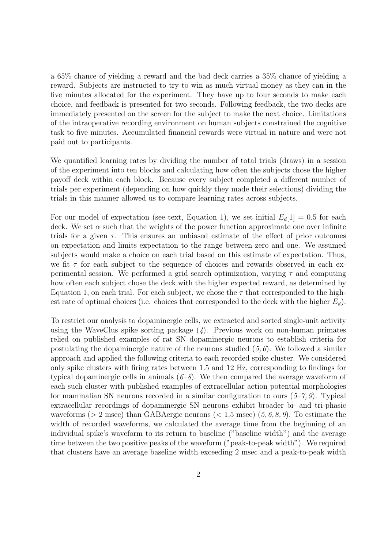a 65% chance of yielding a reward and the bad deck carries a 35% chance of yielding a reward. Subjects are instructed to try to win as much virtual money as they can in the five minutes allocated for the experiment. They have up to four seconds to make each choice, and feedback is presented for two seconds. Following feedback, the two decks are immediately presented on the screen for the subject to make the next choice. Limitations of the intraoperative recording environment on human subjects constrained the cognitive task to five minutes. Accumulated financial rewards were virtual in nature and were not paid out to participants.

We quantified learning rates by dividing the number of total trials (draws) in a session of the experiment into ten blocks and calculating how often the subjects chose the higher payoff deck within each block. Because every subject completed a different number of trials per experiment (depending on how quickly they made their selections) dividing the trials in this manner allowed us to compare learning rates across subjects.

For our model of expectation (see text, Equation 1), we set initial  $E_d[1] = 0.5$  for each deck. We set  $\alpha$  such that the weights of the power function approximate one over infinite trials for a given  $\tau$ . This ensures an unbiased estimate of the effect of prior outcomes on expectation and limits expectation to the range between zero and one. We assumed subjects would make a choice on each trial based on this estimate of expectation. Thus, we fit  $\tau$  for each subject to the sequence of choices and rewards observed in each experimental session. We performed a grid search optimization, varying  $\tau$  and computing how often each subject chose the deck with the higher expected reward, as determined by Equation 1, on each trial. For each subject, we chose the  $\tau$  that corresponded to the highest rate of optimal choices (i.e. choices that corresponded to the deck with the higher  $E_d$ ).

To restrict our analysis to dopaminergic cells, we extracted and sorted single-unit activity using the WaveClus spike sorting package  $(4)$ . Previous work on non-human primates relied on published examples of rat SN dopaminergic neurons to establish criteria for postulating the dopaminergic nature of the neurons studied  $(5, 6)$ . We followed a similar approach and applied the following criteria to each recorded spike cluster. We considered only spike clusters with firing rates between 1.5 and 12 Hz, corresponding to findings for typical dopaminergic cells in animals  $(6-8)$ . We then compared the average waveform of each such cluster with published examples of extracellular action potential morphologies for mammalian SN neurons recorded in a similar configuration to ours  $(5-7, 9)$ . Typical extracellular recordings of dopaminergic SN neurons exhibit broader bi- and tri-phasic waveforms ( $> 2$  msec) than GABA ergic neurons ( $< 1.5$  msec) (5, 6, 8, 9). To estimate the width of recorded waveforms, we calculated the average time from the beginning of an individual spike's waveform to its return to baseline ("baseline width") and the average time between the two positive peaks of the waveform ("peak-to-peak width"). We required that clusters have an average baseline width exceeding 2 msec and a peak-to-peak width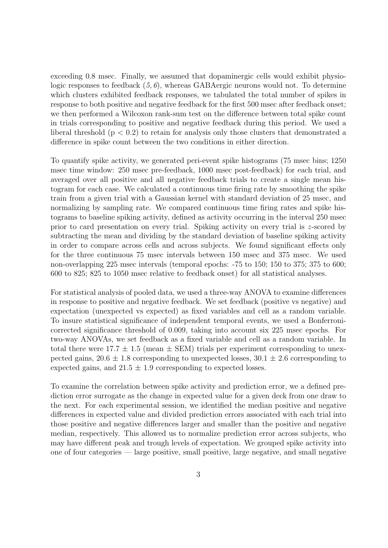exceeding 0.8 msec. Finally, we assumed that dopaminergic cells would exhibit physiologic responses to feedback  $(5, 6)$ , whereas GABAergic neurons would not. To determine which clusters exhibited feedback responses, we tabulated the total number of spikes in response to both positive and negative feedback for the first 500 msec after feedback onset; we then performed a Wilcoxon rank-sum test on the difference between total spike count in trials corresponding to positive and negative feedback during this period. We used a liberal threshold  $(p < 0.2)$  to retain for analysis only those clusters that demonstrated a difference in spike count between the two conditions in either direction.

To quantify spike activity, we generated peri-event spike histograms (75 msec bins; 1250 msec time window: 250 msec pre-feedback, 1000 msec post-feedback) for each trial, and averaged over all positive and all negative feedback trials to create a single mean histogram for each case. We calculated a continuous time firing rate by smoothing the spike train from a given trial with a Gaussian kernel with standard deviation of 25 msec, and normalizing by sampling rate. We compared continuous time firing rates and spike histograms to baseline spiking activity, defined as activity occurring in the interval 250 msec prior to card presentation on every trial. Spiking activity on every trial is z-scored by subtracting the mean and dividing by the standard deviation of baseline spiking activity in order to compare across cells and across subjects. We found significant effects only for the three continuous 75 msec intervals between 150 msec and 375 msec. We used non-overlapping 225 msec intervals (temporal epochs: -75 to 150; 150 to 375; 375 to 600; 600 to 825; 825 to 1050 msec relative to feedback onset) for all statistical analyses.

For statistical analysis of pooled data, we used a three-way ANOVA to examine differences in response to positive and negative feedback. We set feedback (positive vs negative) and expectation (unexpected vs expected) as fixed variables and cell as a random variable. To insure statistical significance of independent temporal events, we used a Bonferronicorrected significance threshold of 0.009, taking into account six 225 msec epochs. For two-way ANOVAs, we set feedback as a fixed variable and cell as a random variable. In total there were  $17.7 \pm 1.5$  (mean  $\pm$  SEM) trials per experiment corresponding to unexpected gains,  $20.6 \pm 1.8$  corresponding to unexpected losses,  $30.1 \pm 2.6$  corresponding to expected gains, and  $21.5 \pm 1.9$  corresponding to expected losses.

To examine the correlation between spike activity and prediction error, we a defined prediction error surrogate as the change in expected value for a given deck from one draw to the next. For each experimental session, we identified the median positive and negative differences in expected value and divided prediction errors associated with each trial into those positive and negative differences larger and smaller than the positive and negative median, respectively. This allowed us to normalize prediction error across subjects, who may have different peak and trough levels of expectation. We grouped spike activity into one of four categories — large positive, small positive, large negative, and small negative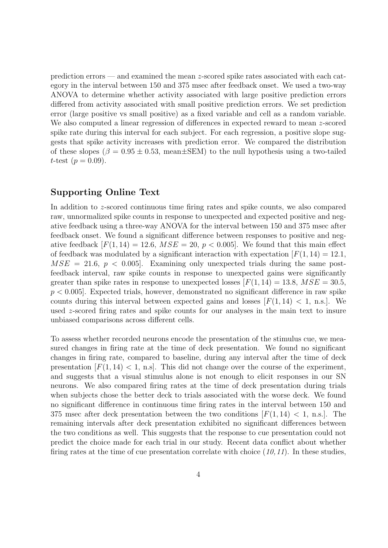prediction errors — and examined the mean z-scored spike rates associated with each category in the interval between 150 and 375 msec after feedback onset. We used a two-way ANOVA to determine whether activity associated with large positive prediction errors differed from activity associated with small positive prediction errors. We set prediction error (large positive vs small positive) as a fixed variable and cell as a random variable. We also computed a linear regression of differences in expected reward to mean z-scored spike rate during this interval for each subject. For each regression, a positive slope suggests that spike activity increases with prediction error. We compared the distribution of these slopes ( $\beta = 0.95 \pm 0.53$ , mean $\pm$ SEM) to the null hypothesis using a two-tailed *t*-test  $(p = 0.09)$ .

### Supporting Online Text

In addition to z-scored continuous time firing rates and spike counts, we also compared raw, unnormalized spike counts in response to unexpected and expected positive and negative feedback using a three-way ANOVA for the interval between 150 and 375 msec after feedback onset. We found a significant difference between responses to positive and negative feedback  $[F(1, 14) = 12.6, MSE = 20, p < 0.005]$ . We found that this main effect of feedback was modulated by a significant interaction with expectation  $[F(1, 14) = 12.1]$ ,  $MSE = 21.6, p < 0.005$ . Examining only unexpected trials during the same postfeedback interval, raw spike counts in response to unexpected gains were significantly greater than spike rates in response to unexpected losses  $[F(1, 14) = 13.8, MSE = 30.5,$  $p < 0.005$ . Expected trials, however, demonstrated no significant difference in raw spike counts during this interval between expected gains and losses  $[F(1, 14) < 1, n.s.]$ . We used z-scored firing rates and spike counts for our analyses in the main text to insure unbiased comparisons across different cells.

To assess whether recorded neurons encode the presentation of the stimulus cue, we measured changes in firing rate at the time of deck presentation. We found no significant changes in firing rate, compared to baseline, during any interval after the time of deck presentation  $[F(1, 14) < 1, n.s]$ . This did not change over the course of the experiment, and suggests that a visual stimulus alone is not enough to elicit responses in our SN neurons. We also compared firing rates at the time of deck presentation during trials when subjects chose the better deck to trials associated with the worse deck. We found no significant difference in continuous time firing rates in the interval between 150 and 375 msec after deck presentation between the two conditions  $[F(1, 14) < 1, n.s.]$ . The remaining intervals after deck presentation exhibited no significant differences between the two conditions as well. This suggests that the response to cue presentation could not predict the choice made for each trial in our study. Recent data conflict about whether firing rates at the time of cue presentation correlate with choice  $(10,11)$ . In these studies,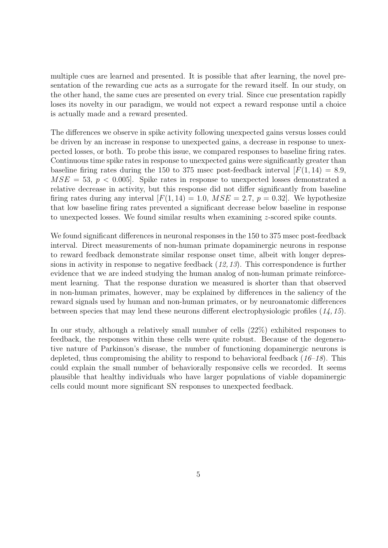multiple cues are learned and presented. It is possible that after learning, the novel presentation of the rewarding cue acts as a surrogate for the reward itself. In our study, on the other hand, the same cues are presented on every trial. Since cue presentation rapidly loses its novelty in our paradigm, we would not expect a reward response until a choice is actually made and a reward presented.

The differences we observe in spike activity following unexpected gains versus losses could be driven by an increase in response to unexpected gains, a decrease in response to unexpected losses, or both. To probe this issue, we compared responses to baseline firing rates. Continuous time spike rates in response to unexpected gains were significantly greater than baseline firing rates during the 150 to 375 msec post-feedback interval  $[F(1, 14) = 8.9]$ ,  $MSE = 53$ ,  $p < 0.005$ . Spike rates in response to unexpected losses demonstrated a relative decrease in activity, but this response did not differ significantly from baseline firing rates during any interval  $[F(1, 14) = 1.0, MSE = 2.7, p = 0.32]$ . We hypothesize that low baseline firing rates prevented a significant decrease below baseline in response to unexpected losses. We found similar results when examining  $z$ -scored spike counts.

We found significant differences in neuronal responses in the 150 to 375 msec post-feedback interval. Direct measurements of non-human primate dopaminergic neurons in response to reward feedback demonstrate similar response onset time, albeit with longer depressions in activity in response to negative feedback (12, 13). This correspondence is further evidence that we are indeed studying the human analog of non-human primate reinforcement learning. That the response duration we measured is shorter than that observed in non-human primates, however, may be explained by differences in the saliency of the reward signals used by human and non-human primates, or by neuroanatomic differences between species that may lend these neurons different electrophysiologic profiles (14, 15).

In our study, although a relatively small number of cells (22%) exhibited responses to feedback, the responses within these cells were quite robust. Because of the degenerative nature of Parkinson's disease, the number of functioning dopaminergic neurons is depleted, thus compromising the ability to respond to behavioral feedback  $(16-18)$ . This could explain the small number of behaviorally responsive cells we recorded. It seems plausible that healthy individuals who have larger populations of viable dopaminergic cells could mount more significant SN responses to unexpected feedback.